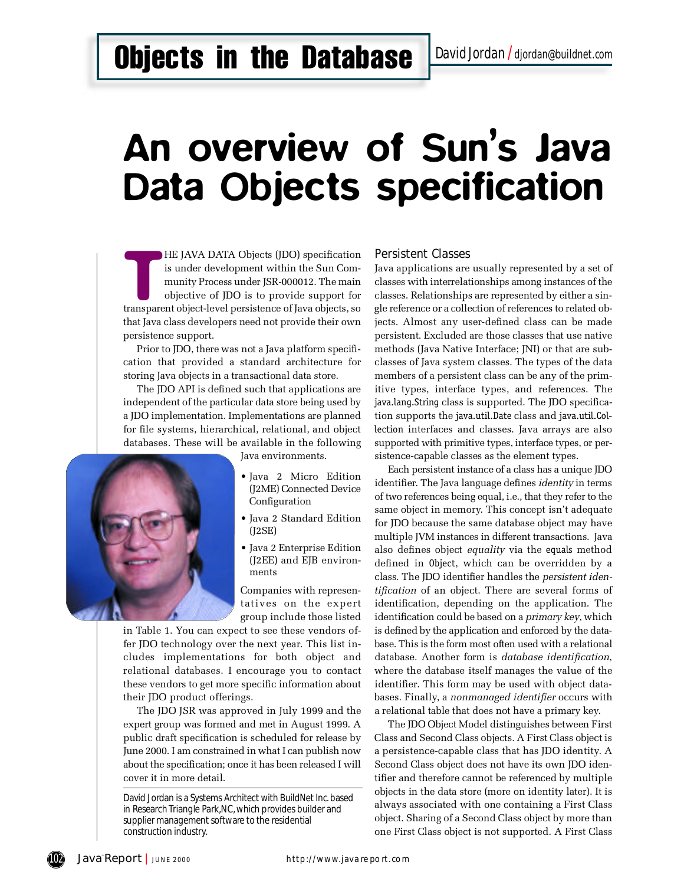## **Objects in the Database** *David Jordan I* djordan@buildnet.com

# An overview of Sun's Java Data Objects specification

HE JAVA DATA Objects (JDO) specification<br>is under development within the Sun Com-<br>munity Process under JSR-000012. The main<br>objective of JDO is to provide support for<br>transparent object-level persistence of Java objects, s HE JAVA DATA Objects (JDO) specification is under development within the Sun Community Process under JSR-000012. The main objective of JDO is to provide support for that Java class developers need not provide their own persistence support.

Prior to JDO, there was not a Java platform specification that provided a standard architecture for storing Java objects in a transactional data store .

The JDO API is defined such that applications are independent of the particular data store being used by a JDO implementation. Implementations are planned for file systems, hierarchical, relational, and object databases. These will be available in the following





- Java 2 Micro Edition (J2ME) Connected Device Configuration
- Java 2 Standard Edition  $(I2SE)$
- Java 2 Enterprise Edition (J2EE) and EJB environments

Companies with representatives on the expert g roup include those listed

in Table 1. You can expect to see these vendors offer JDO technology over the next year. This list includes implementations for both object and relational databases. I encourage you to contact these vendors to get more specific information about their JDO product offerings.

The JDO JSR was approved in July 1999 and the expert group was formed and met in August 1999. A public draft specification is scheduled for release by June 2000. I am constrained in what I can publish now about the specification; once it has been released I will cover it in more detail.

David Jordan is a Systems Architect with BuildNet Inc. based in Research Triangle Park, NC, which provides builder and supplier management software to the residential construction industry.

#### **Persistent Classes**

Java applications are usually represented by a set of classes with interrelationships among instances of the classes. Relationships are represented by either a single reference or a collection of references to related objects. Almost any user-defined class can be made persistent. Excluded are those classes that use native methods (Java Native Interface; JNI) or that are subclasses of Java system classes. The types of the data members of a persistent class can be any of the primitive types, interface types, and references. The java.lang.String class is supported. The JDO specification supports the java.util.Date class and java.util.Collection interfaces and classes. Java arrays are also supported with primitive types, interface types, or persistence-capable classes as the element types.

Each persistent instance of a class has a unique JDO identifier. The Java language defines *identity* in terms of two references being equal, i.e., that they refer to the same object in memory. This concept isn't adequate for JDO because the same database object may have multiple JVM instances in different transactions. Java also defines object *equality* via the equals method defined in Object, which can be overridden by a class. The JDO identifier handles the *persistent identification* of an object. There are several forms of identification, depending on the application. The identification could be based on a *primary key*, which is defined by the application and enforced by the database. This is the form most often used with a relational database. Another form is *database identification*, where the database itself manages the value of the identifier. This form may be used with object databases. Finally, a *nonmanaged identifier* occurs with a relational table that does not have a primary key.

The JDO Object Model distinguishes between First Class and Second Class objects. A First Class object is a persistence-capable class that has JDO identity. A Second Class object does not have its own JDO identifier and therefore cannot be referenced by multiple objects in the data store (more on identity later). It is always associated with one containing a First Class object. Sharing of a Second Class object by more than one First Class object is not supported. A First Class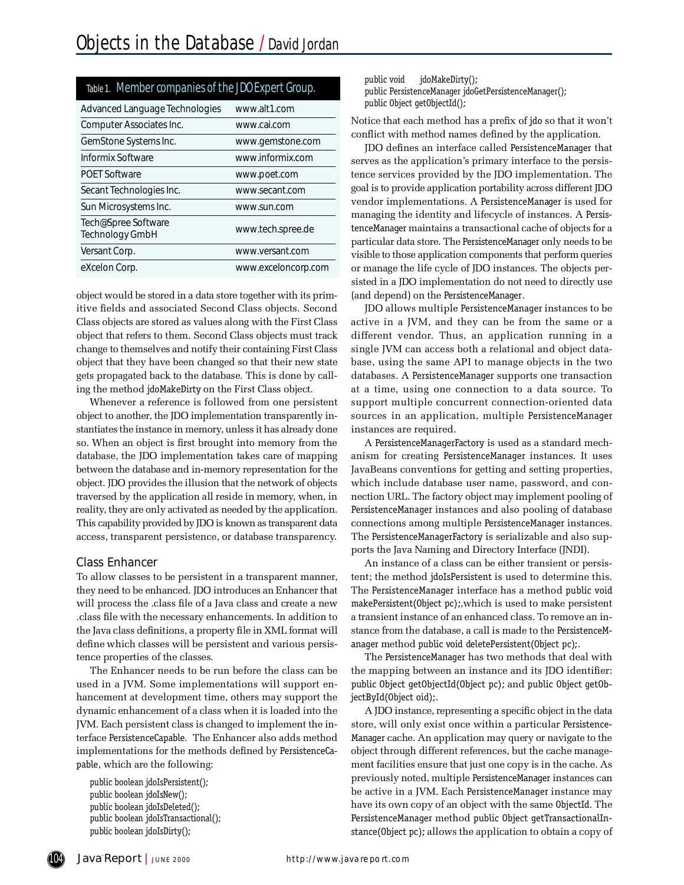| Table 1. Member companies of the JDO Expert Group. |                     |
|----------------------------------------------------|---------------------|
| Advanced Language Technologies                     | www.alt1.com        |
| Computer Associates Inc.                           | www.cai.com         |
| GemStone Systems Inc.                              | www.gemstone.com    |
| Informix Software                                  | www.informix.com    |
| <b>POET Software</b>                               | www.poet.com        |
| Secant Technologies Inc.                           | www.secant.com      |
| Sun Microsystems Inc.                              | www.sun.com         |
| Tech@Spree Software<br>Technology GmbH             | www.tech.spree.de   |
| Versant Corp.                                      | www.versant.com     |
| eXcelon Corp.                                      | www.exceloncorp.com |

object would be stored in a data store together with its primitive fields and associated Second Class objects. Second Class objects are stored as values along with the First Class object that refers to them. Second Class objects must track change to themselves and notify their containing First Class object that they have been changed so that their new state gets propagated back to the database. This is done by calling the method jdoMakeDirty on the First Class object.

Whenever a reference is followed from one persistent object to another, the JDO implementation transparently instantiates the instance in memory, unless it has already done so. When an object is first brought into memory from the database, the JDO implementation takes care of mapping between the database and in-memory representation for the object. JDO provides the illusion that the network of objects traversed by the application all reside in memory, when, in reality, they are only activated as needed by the application. This capability provided by JDO is known as transparent data access, transparent persistence, or database transparency.

#### **Class Enhancer**

To allow classes to be persistent in a transparent manner, they need to be enhanced. JDO introduces an Enhancer that will process the .class file of a Java class and create a new .class file with the necessary enhancements. In addition to the Java class definitions, a property file in XML format will define which classes will be persistent and various persistence properties of the classes.

The Enhancer needs to be run before the class can be used in a JVM. Some implementations will support enhancement at development time, others may support the dynamic enhancement of a class when it is loaded into the JVM. Each persistent class is changed to implement the interface PersistenceCapable. The Enhancer also adds method implementations for the methods defined by PersistenceCapable, which are the following:

public boolean jdoIsPersistent(); public boolean jdoIsNew(); public boolean jdoIsDeleted(); public boolean jdoIsTransactional(); public boolean jdoIsDirty();

public void jdo Make Dirty(); public PersistenceManager jdoGetPersistenceManager(); public Object getObjectId();

Notice that each method has a prefix of jdo so that it won't conflict with method names defined by the application.

JDO defines an interface called PersistenceManager that serves as the application's primary interface to the persistence services provided by the JDO implementation. The goal is to provide application portability across different JDO vendor implementations. A PersistenceManager is used for managing the identity and lifecycle of instances. A PersistenceManager maintains a transactional cache of objects for a particular data store. The PersistenceManager only needs to be visible to those application components that perform queries or manage the life cycle of JDO instances. The objects persisted in a JDO implementation do not need to directly use (and depend) on the PersistenceManager.

JDO allows multiple PersistenceManager instances to be active in a JVM, and they can be from the same or a different vendor. Thus, an application running in a single JVM can access both a relational and object database, using the same API to manage objects in the two databases. A PersistenceManager supports one transaction at a time, using one connection to a data source. To support multiple concurrent connection-oriented data sources in an application, multiple PersistenceManager instances are required.

A PersistenceManagerFactory is used as a standard mechanism for creating PersistenceManager instances. It uses JavaBeans conventions for getting and setting properties, which include database user name, password, and connection URL. The factory object may implement pooling of PersistenceManager instances and also pooling of database connections among multiple PersistenceManager instances. The PersistenceManagerFactory is serializable and also supports the Java Naming and Directory Interface (JNDI).

An instance of a class can be either transient or persistent; the method jdoIsPersistent is used to determine this. The PersistenceManager interface has a method public void make Persistent (Object pc);, which is used to make persistent a transient instance of an enhanced class. To remove an instance from the database, a call is made to the PersistenceManager method public void deletePersistent(Object pc);.

The PersistenceManager has two methods that deal with the mapping between an instance and its JDO identifier: public Object get Object Id (Object pc); and public Object get ObjectById(Object oid);.

A JDO instance, representing a specific object in the data store, will only exist once within a particular Persistence-Manager cache. An application may query or navigate to the object through different references, but the cache management facilities ensure that just one copy is in the cache. As previously noted, multiple PersistenceManager instances can be active in a JVM. Each PersistenceManager instance may have its own copy of an object with the same ObjectId. The PersistenceManager method public Object getTransactionalInstance (Object pc); allows the application to obtain a copy of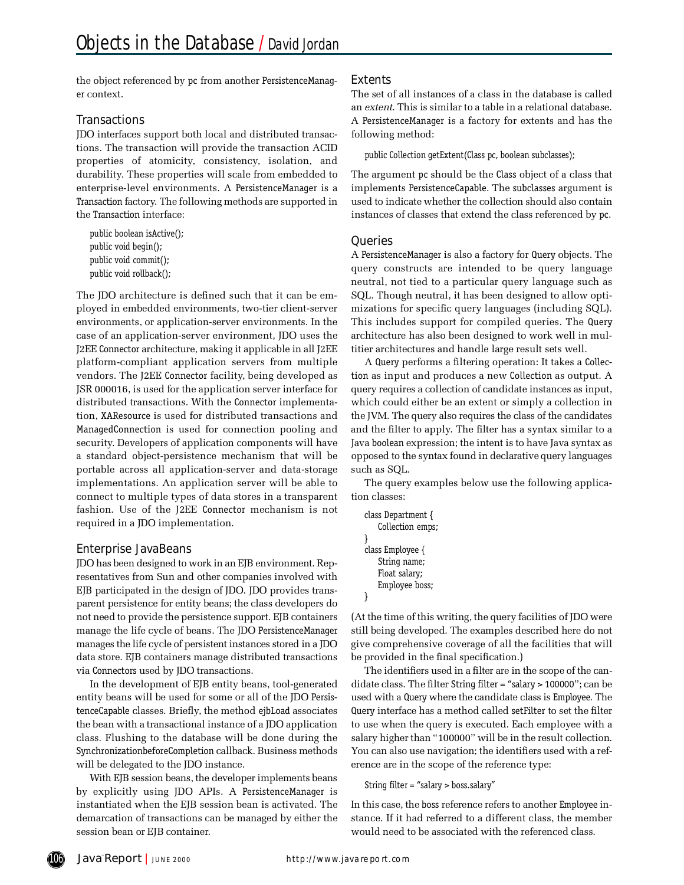the object referenced by pc from another PersistenceManager context.

#### **Transactions**

JDO interfaces support both local and distributed transactions. The transaction will provide the transaction ACID properties of atomicity, consistency, isolation, and durability. These properties will scale from embedded to enterprise-level environments. A PersistenceManager is a Transaction factory. The following methods are supported in the Transaction interface:

public boolean isActive(); public void begin(); public void commit(); public void rollback();

The JDO architecture is defined such that it can be employed in embedded environments, two-tier client-server environments, or application-server environments. In the case of an application-server environment, JDO uses the J2EE Connector architecture, making it applicable in all J2EE platform-compliant application servers from multiple vendors. The J2EE Connector facility, being developed as JSR 000016, is used for the application server interface for distributed transactions. With the Connector implementation, XA Resource is used for distributed transactions and ManagedConnection is used for connection pooling and security. Developers of application components will have a standard object-persistence mechanism that will be portable across all application-server and data-storage implementations. An application server will be able to connect to multiple types of data stores in a transparent fashion. Use of the J2EE Connector mechanism is not required in a JDO implementation.

#### Enterprise JavaBeans

JDO has been designed to work in an EJB environment. Representatives from Sun and other companies involved with EJB participated in the design of JDO. JDO provides transparent persistence for entity beans; the class developers do not need to provide the persistence support. EJB containers manage the life cycle of beans. The JDO PersistenceManager manages the life cycle of persistent instances stored in a JDO data store. EJB containers manage distributed transactions via Connectors used by JDO transactions.

In the development of EJB entity beans, tool-generated entity beans will be used for some or all of the JDO Persistence Capable classes. Briefly, the method e jb Load associates the bean with a transactional instance of a JDO application class. Flushing to the database will be done during the SynchronizationbeforeCompletion callback. Business methods will be delegated to the JDO instance.

With EJB session beans, the developer implements beans by explicitly using JDO APIs. A PersistenceManager is instantiated when the EJB session bean is activated. The demarcation of transactions can be managed by either the session bean or EJB container.

#### **Extents**

The set of all instances of a class in the database is called an *extent*. This is similar to a table in a relational database. A PersistenceManager is a factory for extents and has the following method:

public Collection get Extent (Class pc, boolean subclasses);

The argument pc should be the Class object of a class that implements PersistenceCapable. The subclasses argument is used to indicate whether the collection should also contain instances of classes that extend the class referenced by pc.

#### **Queries**

A PersistenceManager is also a factory for Query objects. The query constructs are intended to be query language neutral, not tied to a particular query language such as SQL. Though neutral, it has been designed to allow optimizations for specific query languages (including SQL). This includes support for compiled queries. The Query architecture has also been designed to work well in multitier architectures and handle large result sets well.

A Query performs a filtering operation: It takes a Collection as input and produces a new Collection as output. A query requires a collection of candidate instances as input, which could either be an extent or simply a collection in the JVM. The query also requires the class of the candidates and the filter to apply. The filter has a syntax similar to a Java boolean expression; the intent is to have Java syntax as opposed to the syntax found in declarative query languages such as SQL.

The query examples below use the following application classes:

```
class Department {
   Collection emps;
}
class Employee {
   String name;
   Float salary;
   Employee boss;
}
```
(At the time of this writing, the query facilities of JDO were still being developed. The examples described here do not give comprehensive coverage of all the facilities that will be provided in the final specification.)

The identifiers used in a filter are in the scope of the candidate class. The filter String filter = "salary  $> 100000$ "; can be used with a Query where the candidate class is Employee. The Query interface has a method called setFilter to set the filter to use when the query is executed. Each employee with a salary higher than "100000" will be in the result collection. You can also use navigation; the identifiers used with a reference are in the scope of the reference type:

String filter = "salary > boss. salary"

In this case, the boss reference refers to another Employee instance. If it had referred to a different class, the member would need to be associated with the referenced class.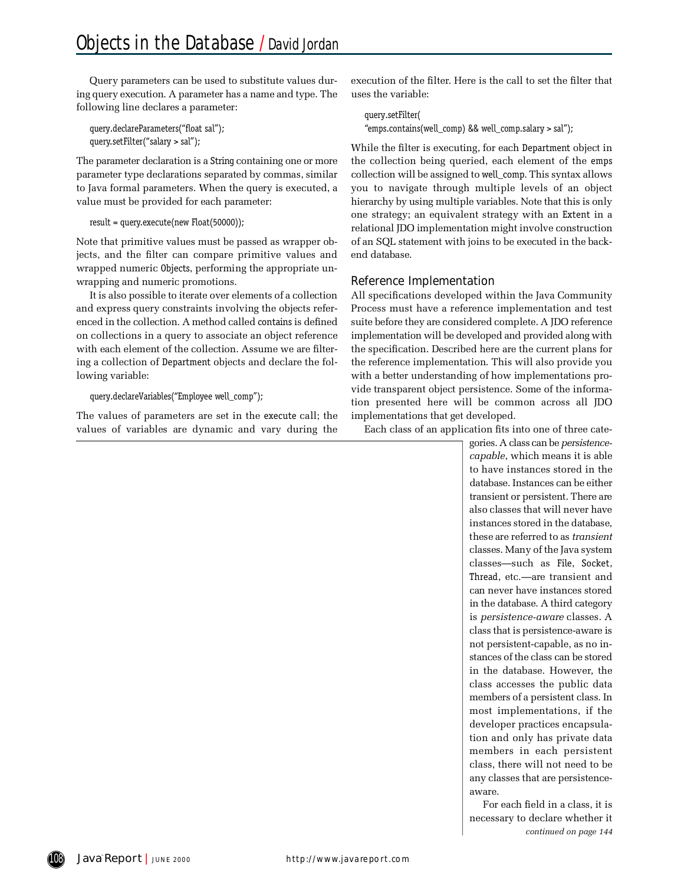Query parameters can be used to substitute values during query execution. A parameter has a name and type. The following line declares a parameter:

query.declareParameters("float sal"); query.setFilter("salary > sal");

The parameter declaration is a String containing one or more parameter type declarations separated by commas, similar to Java formal parameters. When the query is executed, a value must be provided for each parameter:

#### $result = query.execute(new float(50000));$

Note that primitive values must be passed as wrapper objects, and the filter can compare primitive values and wrapped numeric Objects, performing the appropriate unwrapping and numeric promotions.

It is also possible to iterate over elements of a collection and express query constraints involving the objects referenced in the collection. A method called contains is defined on collections in a query to associate an object reference with each element of the collection. Assume we are filtering a collection of Department objects and declare the following variable:

#### query.declareVariables("Employee well\_comp");

The values of parameters are set in the execute call; the values of variables are dynamic and vary during the execution of the filter. Here is the call to set the filter that uses the variable:

```
query.setFilter(
"emps.contains(well_comp) && well_comp.salary > sal");
```
While the filter is executing, for each Department object in the collection being queried, each element of the emps collection will be assigned to well comp. This syntax allows you to navigate through multiple levels of an object hierarchy by using multiple variables. Note that this is only one strategy; an equivalent strategy with an Extent in a relational JDO implementation might involve construction of an SQL statement with joins to be executed in the backend database.

### Reference Implementation

All specifications developed within the Java Community Process must have a reference implementation and test suite before they are considered complete. A JDO reference implementation will be developed and provided along with the specification. Described here are the current plans for the reference implementation. This will also provide you with a better understanding of how implementations provide transparent object persistence. Some of the information presented here will be common across all JDO implementations that get developed.

Each class of an application fits into one of three cate-

gories. A class can be *persistencecapable*, which means it is able to have instances stored in the database. Instances can be either transient or persistent. There are also classes that will never have instances stored in the database, these are referred to as *transient* classes. Many of the Java system classes-such as File, Socket, Thread, etc.—are transient and can never have instances stored in the database. A third category is *persistence-aware* classes. A class that is persistence-aware is not persistent-capable, as no instances of the class can be stored in the database. However, the class accesses the public data members of a persistent class. In most implementations, if the developer practices encapsulation and only has private data members in each persistent class, there will not need to be any classes that are persistenceaware.

For each field in a class, it is necessary to declare whether it *continued on page 1 4 4*